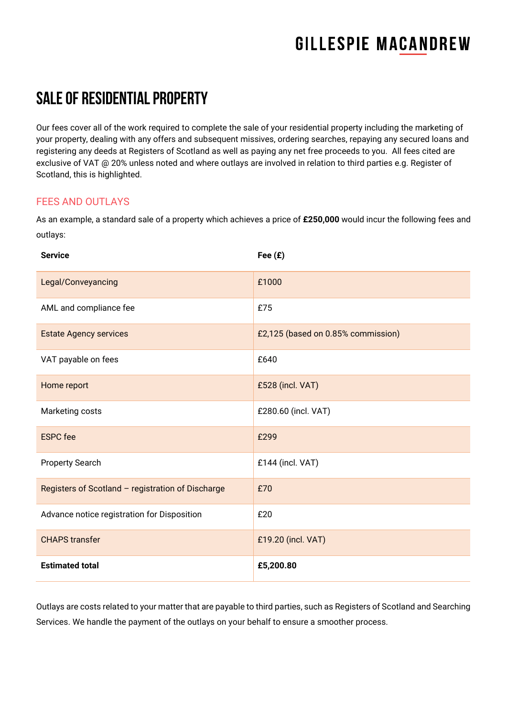### SALE of Residential property

Our fees cover all of the work required to complete the sale of your residential property including the marketing of your property, dealing with any offers and subsequent missives, ordering searches, repaying any secured loans and registering any deeds at Registers of Scotland as well as paying any net free proceeds to you. All fees cited are exclusive of VAT @ 20% unless noted and where outlays are involved in relation to third parties e.g. Register of Scotland, this is highlighted.

#### **FFES AND OUTLAYS**

As an example, a standard sale of a property which achieves a price of **£250,000** would incur the following fees and outlays:

| <b>Service</b>                                    | Fee $(E)$                          |
|---------------------------------------------------|------------------------------------|
| Legal/Conveyancing                                | £1000                              |
| AML and compliance fee                            | £75                                |
| <b>Estate Agency services</b>                     | £2,125 (based on 0.85% commission) |
| VAT payable on fees                               | £640                               |
| Home report                                       | £528 (incl. VAT)                   |
| Marketing costs                                   | £280.60 (incl. VAT)                |
| <b>ESPC</b> fee                                   | £299                               |
| <b>Property Search</b>                            | £144 (incl. VAT)                   |
| Registers of Scotland - registration of Discharge | £70                                |
| Advance notice registration for Disposition       | £20                                |
| <b>CHAPS</b> transfer                             | £19.20 (incl. VAT)                 |
| <b>Estimated total</b>                            | £5,200.80                          |

Outlays are costs related to your matter that are payable to third parties, such as Registers of Scotland and Searching Services. We handle the payment of the outlays on your behalf to ensure a smoother process.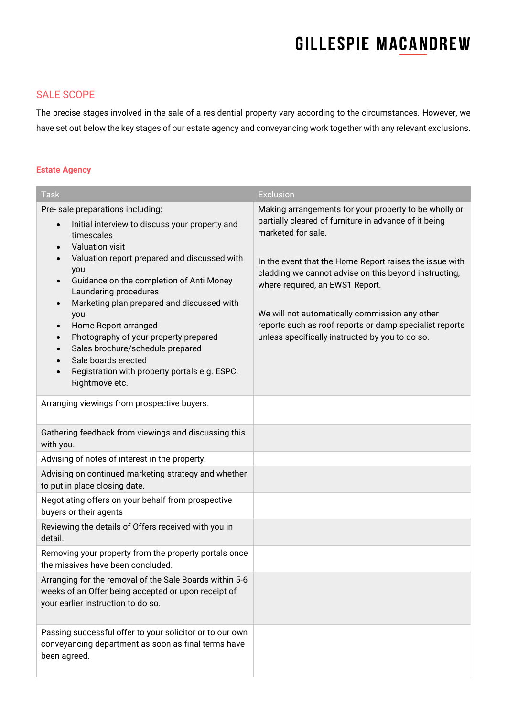#### SALE SCOPE

The precise stages involved in the sale of a residential property vary according to the circumstances. However, we have set out below the key stages of our estate agency and conveyancing work together with any relevant exclusions.

#### **Estate Agency**

| <b>Task</b>                                                                                                                                                                                                                                                                                                                                                                                                                                                                                                                                                                                                              | <b>Exclusion</b>                                                                                                                                                                                                                                                                                                                                                                                                                                            |
|--------------------------------------------------------------------------------------------------------------------------------------------------------------------------------------------------------------------------------------------------------------------------------------------------------------------------------------------------------------------------------------------------------------------------------------------------------------------------------------------------------------------------------------------------------------------------------------------------------------------------|-------------------------------------------------------------------------------------------------------------------------------------------------------------------------------------------------------------------------------------------------------------------------------------------------------------------------------------------------------------------------------------------------------------------------------------------------------------|
| Pre-sale preparations including:<br>Initial interview to discuss your property and<br>$\bullet$<br>timescales<br>Valuation visit<br>$\bullet$<br>Valuation report prepared and discussed with<br>$\bullet$<br>you<br>Guidance on the completion of Anti Money<br>$\bullet$<br>Laundering procedures<br>Marketing plan prepared and discussed with<br>$\bullet$<br>you<br>Home Report arranged<br>$\bullet$<br>Photography of your property prepared<br>$\bullet$<br>Sales brochure/schedule prepared<br>$\bullet$<br>Sale boards erected<br>Registration with property portals e.g. ESPC,<br>$\bullet$<br>Rightmove etc. | Making arrangements for your property to be wholly or<br>partially cleared of furniture in advance of it being<br>marketed for sale.<br>In the event that the Home Report raises the issue with<br>cladding we cannot advise on this beyond instructing,<br>where required, an EWS1 Report.<br>We will not automatically commission any other<br>reports such as roof reports or damp specialist reports<br>unless specifically instructed by you to do so. |
| Arranging viewings from prospective buyers.                                                                                                                                                                                                                                                                                                                                                                                                                                                                                                                                                                              |                                                                                                                                                                                                                                                                                                                                                                                                                                                             |
| Gathering feedback from viewings and discussing this<br>with you.                                                                                                                                                                                                                                                                                                                                                                                                                                                                                                                                                        |                                                                                                                                                                                                                                                                                                                                                                                                                                                             |
| Advising of notes of interest in the property.                                                                                                                                                                                                                                                                                                                                                                                                                                                                                                                                                                           |                                                                                                                                                                                                                                                                                                                                                                                                                                                             |
| Advising on continued marketing strategy and whether<br>to put in place closing date.                                                                                                                                                                                                                                                                                                                                                                                                                                                                                                                                    |                                                                                                                                                                                                                                                                                                                                                                                                                                                             |
| Negotiating offers on your behalf from prospective<br>buyers or their agents                                                                                                                                                                                                                                                                                                                                                                                                                                                                                                                                             |                                                                                                                                                                                                                                                                                                                                                                                                                                                             |
| Reviewing the details of Offers received with you in<br>detail.                                                                                                                                                                                                                                                                                                                                                                                                                                                                                                                                                          |                                                                                                                                                                                                                                                                                                                                                                                                                                                             |
| Removing your property from the property portals once<br>the missives have been concluded.                                                                                                                                                                                                                                                                                                                                                                                                                                                                                                                               |                                                                                                                                                                                                                                                                                                                                                                                                                                                             |
| Arranging for the removal of the Sale Boards within 5-6<br>weeks of an Offer being accepted or upon receipt of<br>your earlier instruction to do so.                                                                                                                                                                                                                                                                                                                                                                                                                                                                     |                                                                                                                                                                                                                                                                                                                                                                                                                                                             |
| Passing successful offer to your solicitor or to our own<br>conveyancing department as soon as final terms have<br>been agreed.                                                                                                                                                                                                                                                                                                                                                                                                                                                                                          |                                                                                                                                                                                                                                                                                                                                                                                                                                                             |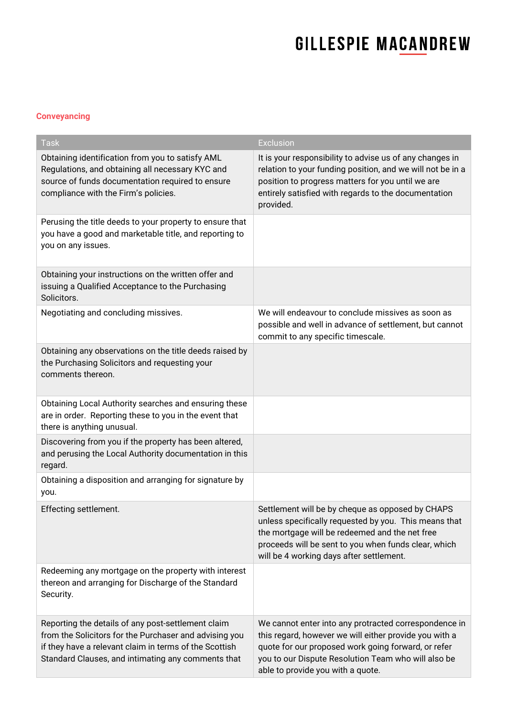#### **Conveyancing**

| <b>Task</b>                                                                                                                                                                                                                  | <b>Exclusion</b>                                                                                                                                                                                                                                                   |
|------------------------------------------------------------------------------------------------------------------------------------------------------------------------------------------------------------------------------|--------------------------------------------------------------------------------------------------------------------------------------------------------------------------------------------------------------------------------------------------------------------|
| Obtaining identification from you to satisfy AML<br>Regulations, and obtaining all necessary KYC and<br>source of funds documentation required to ensure<br>compliance with the Firm's policies.                             | It is your responsibility to advise us of any changes in<br>relation to your funding position, and we will not be in a<br>position to progress matters for you until we are<br>entirely satisfied with regards to the documentation<br>provided.                   |
| Perusing the title deeds to your property to ensure that<br>you have a good and marketable title, and reporting to<br>you on any issues.                                                                                     |                                                                                                                                                                                                                                                                    |
| Obtaining your instructions on the written offer and<br>issuing a Qualified Acceptance to the Purchasing<br>Solicitors.                                                                                                      |                                                                                                                                                                                                                                                                    |
| Negotiating and concluding missives.                                                                                                                                                                                         | We will endeavour to conclude missives as soon as<br>possible and well in advance of settlement, but cannot<br>commit to any specific timescale.                                                                                                                   |
| Obtaining any observations on the title deeds raised by<br>the Purchasing Solicitors and requesting your<br>comments thereon.                                                                                                |                                                                                                                                                                                                                                                                    |
| Obtaining Local Authority searches and ensuring these<br>are in order. Reporting these to you in the event that<br>there is anything unusual.                                                                                |                                                                                                                                                                                                                                                                    |
| Discovering from you if the property has been altered,<br>and perusing the Local Authority documentation in this<br>regard.                                                                                                  |                                                                                                                                                                                                                                                                    |
| Obtaining a disposition and arranging for signature by<br>you.                                                                                                                                                               |                                                                                                                                                                                                                                                                    |
| Effecting settlement.                                                                                                                                                                                                        | Settlement will be by cheque as opposed by CHAPS<br>unless specifically requested by you. This means that<br>the mortgage will be redeemed and the net free<br>proceeds will be sent to you when funds clear, which<br>will be 4 working days after settlement.    |
| Redeeming any mortgage on the property with interest<br>thereon and arranging for Discharge of the Standard<br>Security.                                                                                                     |                                                                                                                                                                                                                                                                    |
| Reporting the details of any post-settlement claim<br>from the Solicitors for the Purchaser and advising you<br>if they have a relevant claim in terms of the Scottish<br>Standard Clauses, and intimating any comments that | We cannot enter into any protracted correspondence in<br>this regard, however we will either provide you with a<br>quote for our proposed work going forward, or refer<br>you to our Dispute Resolution Team who will also be<br>able to provide you with a quote. |